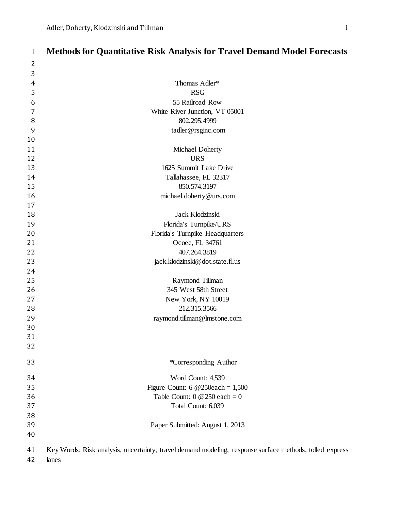| $\mathbf{1}$   | <b>Methods for Quantitative Risk Analysis for Travel Demand Model Forecasts</b>                         |
|----------------|---------------------------------------------------------------------------------------------------------|
| 2              |                                                                                                         |
| $\mathbf{3}$   |                                                                                                         |
| $\overline{4}$ | Thomas Adler*                                                                                           |
| 5              | <b>RSG</b>                                                                                              |
| 6              | 55 Railroad Row                                                                                         |
| 7              | White River Junction, VT 05001                                                                          |
| 8              | 802.295.4999                                                                                            |
| 9              | tadler@rsginc.com                                                                                       |
| 10             |                                                                                                         |
| 11             | Michael Doherty                                                                                         |
| 12             | <b>URS</b>                                                                                              |
| 13             | 1625 Summit Lake Drive                                                                                  |
| 14             | Tallahassee, FL 32317                                                                                   |
| 15             | 850.574.3197                                                                                            |
| 16             | michael.doherty@urs.com                                                                                 |
| 17             |                                                                                                         |
| 18             | Jack Klodzinski                                                                                         |
| 19             | Florida's Turnpike/URS                                                                                  |
| 20             | Florida's Turnpike Headquarters                                                                         |
| 21             | Ocoee, FL 34761                                                                                         |
| 22             | 407.264.3819                                                                                            |
| 23             | jack.klodzinski@dot.state.fl.us                                                                         |
| 24             |                                                                                                         |
| 25             | Raymond Tillman                                                                                         |
| 26             | 345 West 58th Street                                                                                    |
| 27             | New York, NY 10019                                                                                      |
| 28             | 212.315.3566                                                                                            |
| 29             | raymond.tillman@lmstone.com                                                                             |
| 30             |                                                                                                         |
| 31             |                                                                                                         |
| 32             |                                                                                                         |
| 33             | *Corresponding Author                                                                                   |
| 34             | Word Count: 4,539                                                                                       |
| 35             | Figure Count: $6@250each = 1,500$                                                                       |
| 36             | Table Count: $0 \ @ 250 \ each = 0$                                                                     |
| 37             | Total Count: 6,039                                                                                      |
| 38             |                                                                                                         |
| 39             | Paper Submitted: August 1, 2013                                                                         |
| 40             |                                                                                                         |
| 41             | Key Words: Risk analysis, uncertainty, travel demand modeling, response surface methods, tolled express |

lanes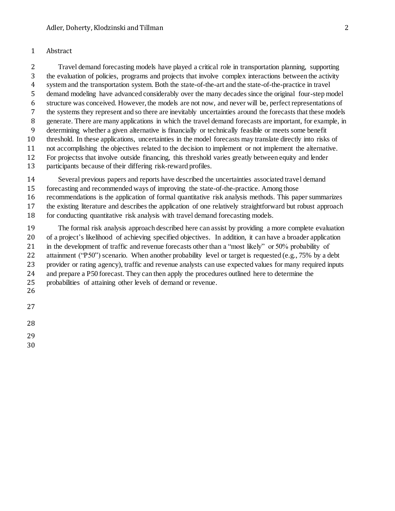#### Abstract

 Travel demand forecasting models have played a critical role in transportation planning, supporting the evaluation of policies, programs and projects that involve complex interactions between the activity system and the transportation system. Both the state-of-the-art and the state-of-the-practice in travel demand modeling have advanced considerably over the many decades since the original four-step model structure was conceived. However, the models are not now, and never will be, perfect representations of the systems they represent and so there are inevitably uncertainties around the forecasts that these models generate. There are many applications in which the travel demand forecasts are important, for example, in determining whether a given alternative is financially or technically feasible or meets some benefit threshold. In these applications, uncertainties in the model forecasts may translate directly into risks of not accomplishing the objectives related to the decision to implement or not implement the alternative. For projectss that involve outside financing, this threshold varies greatly between equity and lender participants because of their differing risk-reward profiles.

Several previous papers and reports have described the uncertainties associated travel demand

forecasting and recommended ways of improving the state-of-the-practice. Among those

recommendations is the application of formal quantitative risk analysis methods. This paper summarizes

the existing literature and describes the application of one relatively straightforward but robust approach

for conducting quantitative risk analysis with travel demand forecasting models.

 The formal risk analysis approach described here can assist by providing a more complete evaluation of a project's likelihood of achieving specified objectives. In addition, it can have a broader application in the development of traffic and revenue forecasts other than a "most likely" or 50% probability of 22 attainment ("P50") scenario. When another probability level or target is requested (e.g., 75% by a debt provider or rating agency), traffic and revenue analysts can use expected values for many required inputs and prepare a P50 forecast. They can then apply the procedures outlined here to determine the probabilities of attaining other levels of demand or revenue.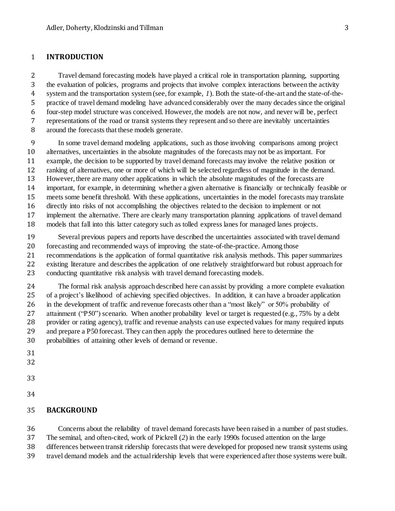### **INTRODUCTION**

 Travel demand forecasting models have played a critical role in transportation planning, supporting the evaluation of policies, programs and projects that involve complex interactions between the activity system and the transportation system (see, for example, *1*). Both the state-of-the-art and the state-of-the- practice of travel demand modeling have advanced considerably over the many decades since the original four-step model structure was conceived. However, the models are not now, and never will be, perfect representations of the road or transit systems they represent and so there are inevitably uncertainties around the forecasts that these models generate.

 In some travel demand modeling applications, such as those involving comparisons among project alternatives, uncertainties in the absolute magnitudes of the forecasts may not be as important. For example, the decision to be supported by travel demand forecasts may involve the relative position or ranking of alternatives, one or more of which will be selected regardless of magnitude in the demand. However, there are many other applications in which the absolute magnitudes of the forecasts are important, for example, in determining whether a given alternative is financially or technically feasible or meets some benefit threshold. With these applications, uncertainties in the model forecasts may translate directly into risks of not accomplishing the objectives related to the decision to implement or not implement the alternative. There are clearly many transportation planning applications of travel demand models that fall into this latter category such as tolled express lanes for managed lanes projects.

 Several previous papers and reports have described the uncertainties associated with travel demand forecasting and recommended ways of improving the state-of-the-practice. Among those recommendations is the application of formal quantitative risk analysis methods. This paper summarizes existing literature and describes the application of one relatively straightforward but robust approach for conducting quantitative risk analysis with travel demand forecasting models.

 The formal risk analysis approach described here can assist by providing a more complete evaluation of a project's likelihood of achieving specified objectives. In addition, it can have a broader application in the development of traffic and revenue forecasts other than a "most likely" or 50% probability of 27 attainment ("P50") scenario. When another probability level or target is requested (e.g., 75% by a debt provider or rating agency), traffic and revenue analysts can use expected values for many required inputs and prepare a P50 forecast. They can then apply the procedures outlined here to determine the probabilities of attaining other levels of demand or revenue.

- 
- 
- 
- 

#### **BACKGROUND**

 Concerns about the reliability of travel demand forecasts have been raised in a number of past studies. The seminal, and often-cited, work of Pickrell (*2*) in the early 1990s focused attention on the large differences between transit ridership forecasts that were developed for proposed new transit systems using travel demand models and the actual ridership levels that were experienced after those systems were built.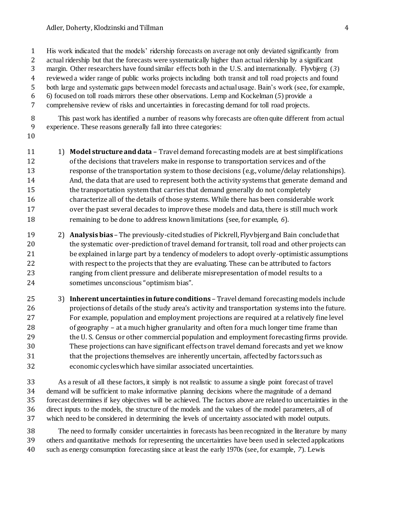His work indicated that the models' ridership forecasts on average not only deviated significantly from

actual ridership but that the forecasts were systematically higher than actual ridership by a significant

margin. Other researchers have found similar effects both in the U.S. and internationally. Flyvbjerg (*3*)

 reviewed a wider range of public works projects including both transit and toll road projects and found both large and systematic gaps between model forecasts and actual usage. Bain's work (see, for example,

6) focused on toll roads mirrors these other observations. Lemp and Kockelman (*5*) provide a

comprehensive review of risks and uncertainties in forecasting demand for toll road projects.

 This past work has identified a number of reasons why forecasts are often quite different from actual experience. These reasons generally fall into three categories:

 1) **Model structure and data** – Travel demand forecasting models are at best simplifications of the decisions that travelers make in response to transportation services and of the response of the transportation system to those decisions (e.g., volume/delay relationships). And, the data that are used to represent both the activity systems that generate demand and the transportation system that carries that demand generally do not completely characterize all of the details of those systems. While there has been considerable work over the past several decades to improve these models and data, there is still much work remaining to be done to address known limitations (see, for example, *6*).

 2) **Analysis bias** – The previously-cited studies of Pickrell, Flyvbjerg and Bain conclude that 20 the systematic over-prediction of travel demand for transit, toll road and other projects can be explained in large part by a tendency of modelers to adopt overly-optimistic assumptions with respect to the projects that they are evaluating. These can be attributed to factors ranging from client pressure and deliberate misrepresentation of model results to a sometimes unconscious "optimism bias".

25 3) **Inherent uncertainties in future conditions** – Travel demand forecasting models include projections of details of the study area's activity and transportation systems into the future. For example, population and employment projections are required at a relatively fine level of geography – at a much higher granularity and often for a much longer time frame than 29 the U. S. Census or other commercial population and employment forecasting firms provide. These projections can have significant effects on travel demand forecasts and yet we know that the projections themselves are inherently uncertain, affected by factors such as economic cycles which have similar associated uncertainties.

 As a result of all these factors, it simply is not realistic to assume a single point forecast of travel demand will be sufficient to make informative planning decisions where the magnitude of a demand forecast determines if key objectives will be achieved. The factors above are related to uncertainties in the direct inputs to the models, the structure of the models and the values of the model parameters, all of which need to be considered in determining the levels of uncertainty associated with model outputs.

 The need to formally consider uncertainties in forecasts has been recognized in the literature by many others and quantitative methods for representing the uncertainties have been used in selected applications such as energy consumption forecasting since at least the early 1970s (see, for example, *7*). Lewis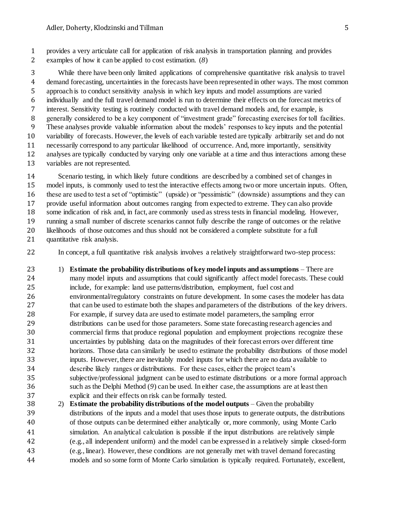provides a very articulate call for application of risk analysis in transportation planning and provides examples of how it can be applied to cost estimation. (*8*)

 While there have been only limited applications of comprehensive quantitative risk analysis to travel demand forecasting, uncertainties in the forecasts have been represented in other ways. The most common approach is to conduct sensitivity analysis in which key inputs and model assumptions are varied individually and the full travel demand model is run to determine their effects on the forecast metrics of interest. Sensitivity testing is routinely conducted with travel demand models and, for example, is generally considered to be a key component of "investment grade" forecasting exercises for toll facilities. These analyses provide valuable information about the models' responses to key inputs and the potential variability of forecasts. However, the levels of each variable tested are typically arbitrarily set and do not necessarily correspond to any particular likelihood of occurrence. And, more importantly, sensitivity analyses are typically conducted by varying only one variable at a time and thus interactions among these variables are not represented.

 Scenario testing, in which likely future conditions are described by a combined set of changes in model inputs, is commonly used to test the interactive effects among two or more uncertain inputs. Often, these are used to test a set of "optimistic" (upside) or "pessimistic" (downside) assumptions and they can provide useful information about outcomes ranging from expected to extreme. They can also provide some indication of risk and, in fact, are commonly used as stress tests in financial modeling. However, running a small number of discrete scenarios cannot fully describe the range of outcomes or the relative likelihoods of those outcomes and thus should not be considered a complete substitute for a full quantitative risk analysis.

In concept, a full quantitative risk analysis involves a relatively straightforward two-step process:

 1) **Estimate the probability distributions of key model inputs and assumptions** – There are many model inputs and assumptions that could significantly affect model forecasts. These could include, for example: land use patterns/distribution, employment, fuel cost and environmental/regulatory constraints on future development. In some cases the modeler has data that can be used to estimate both the shapes and parameters of the distributions of the key drivers. For example, if survey data are used to estimate model parameters, the sampling error distributions can be used for those parameters. Some state forecasting research agencies and commercial firms that produce regional population and employment projections recognize these uncertainties by publishing data on the magnitudes of their forecast errors over different time horizons. Those data can similarly be used to estimate the probability distributions of those model inputs. However, there are inevitably model inputs for which there are no data available to describe likely ranges or distributions. For these cases, either the project team's subjective/professional judgment can be used to estimate distributions or a more formal approach such as the Delphi Method (*9*) can be used. In either case, the assumptions are at least then explicit and their effects on risk can be formally tested.

 2) **Estimate the probability distributions of the model outputs** – Given the probability distributions of the inputs and a model that uses those inputs to generate outputs, the distributions of those outputs can be determined either analytically or, more commonly, using Monte Carlo simulation. An analytical calculation is possible if the input distributions are relatively simple (e.g., all independent uniform) and the model can be expressed in a relatively simple closed-form (e.g., linear). However, these conditions are not generally met with travel demand forecasting models and so some form of Monte Carlo simulation is typically required. Fortunately, excellent,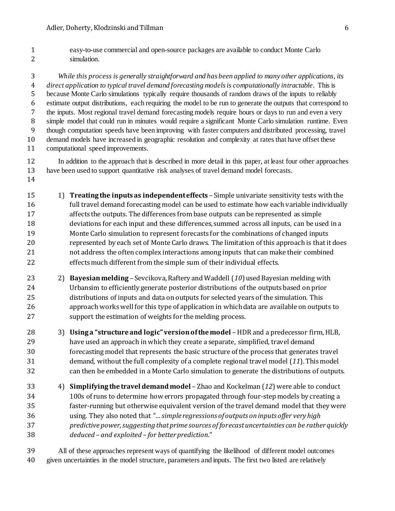easy-to-use commercial and open-source packages are available to conduct Monte Carlo simulation.

 *While this process is generally straightforward and has been applied to many other applications, its direct application to typical travel demand forecasting modelsis computationally intractable*. This is because Monte Carlo simulations typically require thousands of random draws of the inputs to reliably estimate output distributions, each requiring the model to be run to generate the outputs that correspond to the inputs. Most regional travel demand forecasting models require hours or days to run and even a very simple model that could run in minutes would require a significant Monte Carlo simulation runtime. Even though computation speeds have been improving with faster computers and distributed processing, travel demand models have increased in geographic resolution and complexity at rates that have offset these computational speed improvements.

- In addition to the approach that is described in more detail in this paper, at least four other approaches have been used to support quantitative risk analyses of travel demand model forecasts.
- 1) **Treating the inputs as independent effects** Simple univariate sensitivity tests with the full travel demand forecasting model can be used to estimate how each variable individually affects the outputs. The differences from base outputs can be represented as simple deviations for each input and these differences, summed across all inputs, can be used in a Monte Carlo simulation to represent forecasts for the combinations of changed inputs represented by each set of Monte Carlo draws. The limitation of this approach is that it does not address the often complex interactions among inputs that can make their combined effects much different from the simple sum of their individual effects.
- 2) **Bayesian melding** Sevcikova, Raftery and Waddell (*10*) used Bayesian melding with Urbansim to efficiently generate posterior distributions of the outputs based on prior distributions of inputs and data on outputs for selected years of the simulation. This approach works well for this type of application in which data are available on outputs to support the estimation of weights for the melding process.
- 3) **Using a "structure and logic" version of the model** –HDR and a predecessor firm, HLB, have used an approach in which they create a separate, simplified, travel demand forecasting model that represents the basic structure of the process that generates travel demand, without the full complexity of a complete regional travel model (*11*). This model can then be embedded in a Monte Carlo simulation to generate the distributions of outputs.
- 4) **Simplifying the travel demand model** Zhao and Kockelman (*12*) were able to conduct 100s of runs to determine how errors propagated through four-step models by creating a faster-running but otherwise equivalent version of the travel demand model that they were using. They also noted that *"… simple regressions of outputs on inputs offer very high predictive power, suggesting that prime sources of forecast uncertainties can be rather quickly deduced – and exploited – for better prediction*."
- All of these approaches represent ways of quantifying the likelihood of different model outcomes given uncertainties in the model structure, parameters and inputs. The first two listed are relatively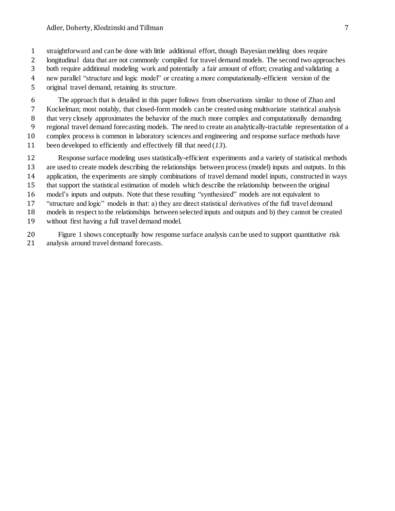straightforward and can be done with little additional effort, though Bayesian melding does require

 longitudinal data that are not commonly compiled for travel demand models. The second two approaches both require additional modeling work and potentially a fair amount of effort; creating and validating a

new parallel "structure and logic model" or creating a more computationally-efficient version of the

original travel demand, retaining its structure.

 The approach that is detailed in this paper follows from observations similar to those of Zhao and Kockelman; most notably, that closed-form models can be created using multivariate statistical analysis that very closely approximates the behavior of the much more complex and computationally demanding regional travel demand forecasting models. The need to create an analytically-tractable representation of a complex process is common in laboratory sciences and engineering and response surface methods have been developed to efficiently and effectively fill that need (*13*).

 Response surface modeling uses statistically-efficient experiments and a variety of statistical methods are used to create models describing the relationships between process (model) inputs and outputs. In this application, the experiments are simply combinations of travel demand model inputs, constructed in ways that support the statistical estimation of models which describe the relationship between the original model's inputs and outputs. Note that these resulting "synthesized" models are not equivalent to "structure and logic" models in that: a) they are direct statistical derivatives of the full travel demand models in respect to the relationships between selected inputs and outputs and b) they cannot be created without first having a full travel demand model.

 [Figure 1](#page-7-0) shows conceptually how response surface analysis can be used to support quantitative risk analysis around travel demand forecasts.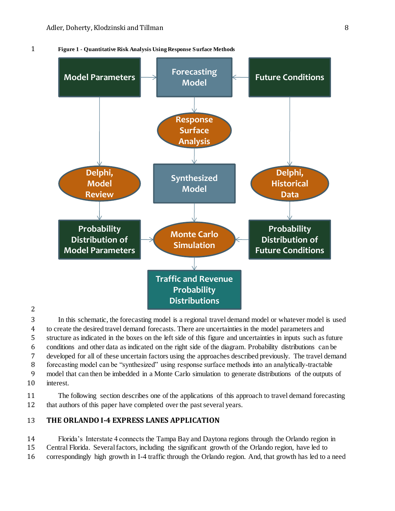1 **Figure 1 - Quantitative Risk Analysis Using Response Surface Methods**

<span id="page-7-0"></span>

2

 In this schematic, the forecasting model is a regional travel demand model or whatever model is used to create the desired travel demand forecasts. There are uncertainties in the model parameters and structure as indicated in the boxes on the left side of this figure and uncertainties in inputs such as future conditions and other data as indicated on the right side of the diagram. Probability distributions can be developed for all of these uncertain factors using the approaches described previously. The travel demand forecasting model can be "synthesized" using response surface methods into an analytically-tractable model that can then be imbedded in a Monte Carlo simulation to generate distributions of the outputs of interest.

11 The following section describes one of the applications of this approach to travel demand forecasting 12 that authors of this paper have completed over the past several years.

## 13 **THE ORLANDO I-4 EXPRESS LANES APPLICATION**

14 Florida's Interstate 4 connects the Tampa Bay and Daytona regions through the Orlando region in 15 Central Florida. Several factors, including the significant growth of the Orlando region, have led to 16 correspondingly high growth in I-4 traffic through the Orlando region. And, that growth has led to a need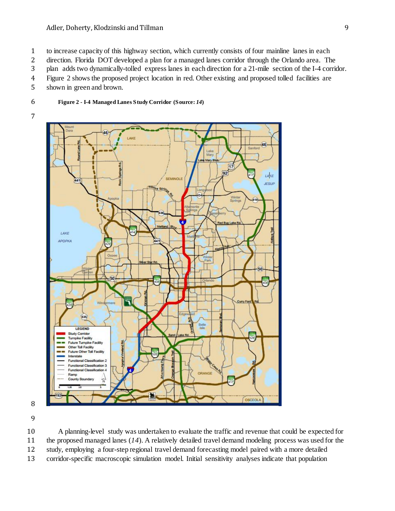to increase capacity of this highway section, which currently consists of four mainline lanes in each

direction. Florida DOT developed a plan for a managed lanes corridor through the Orlando area. The

plan adds two dynamically-tolled express lanes in each direction for a 21-mile section of the I-4 corridor.

[Figure 2](#page-8-0) shows the proposed project location in red. Other existing and proposed tolled facilities are

shown in green and brown.

- <span id="page-8-0"></span>**Figure 2 - I-4 Managed Lanes Study Corridor (Source:** *14***)**
- 



 A planning-level study was undertaken to evaluate the traffic and revenue that could be expected for the proposed managed lanes (*14*). A relatively detailed travel demand modeling process was used for the study, employing a four-step regional travel demand forecasting model paired with a more detailed corridor-specific macroscopic simulation model. Initial sensitivity analyses indicate that population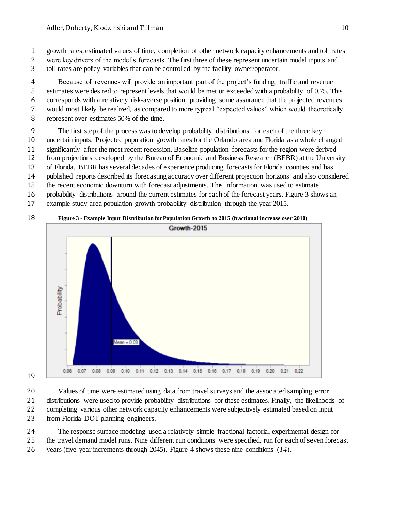growth rates, estimated values of time, completion of other network capacity enhancements and toll rates

- were key drivers of the model's forecasts. The first three of these represent uncertain model inputs and
- toll rates are policy variables that can be controlled by the facility owner/operator.

 Because toll revenues will provide an important part of the project's funding, traffic and revenue estimates were desired to represent levels that would be met or exceeded with a probability of 0.75. This corresponds with a relatively risk-averse position, providing some assurance that the projected revenues would most likely be realized, as compared to more typical "expected values" which would theoretically

represent over-estimates 50% of the time.

 The first step of the process was to develop probability distributions for each of the three key uncertain inputs. Projected population growth rates for the Orlando area and Florida as a whole changed significantly after the most recent recession. Baseline population forecasts for the region were derived from projections developed by the Bureau of Economic and Business Research (BEBR) at the University of Florida. BEBR has several decades of experience producing forecasts for Florida counties and has

- published reports described its forecasting accuracy over different projection horizons and also considered
- the recent economic downturn with forecast adjustments. This information was used to estimate
- probability distributions around the current estimates for each of the forecast years[. Figure 3](#page-9-0) shows an
- example study area population growth probability distribution through the year 2015.

## **Figure 3 - Example Input Distribution for Population Growth to 2015 (fractional increase over 2010)**

<span id="page-9-0"></span>

 Values of time were estimated using data from travel surveys and the associated sampling error distributions were used to provide probability distributions for these estimates. Finally, the likelihoods of completing various other network capacity enhancements were subjectively estimated based on input from Florida DOT planning engineers.

 The response surface modeling used a relatively simple fractional factorial experimental design for the travel demand model runs. Nine different run conditions were specified, run for each of seven forecast years (five-year increments through 2045). [Figure 4](#page-10-0) shows these nine conditions (*14*).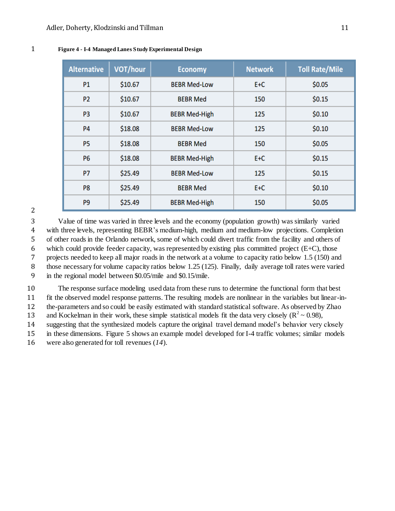<span id="page-10-0"></span>

|  |  |  | Figure 4 - I-4 Managed Lanes Study Experimental Design |  |
|--|--|--|--------------------------------------------------------|--|
|--|--|--|--------------------------------------------------------|--|

| <b>Alternative</b> | VOT/hour | <b>Economy</b>       | <b>Network</b> | <b>Toll Rate/Mile</b> |
|--------------------|----------|----------------------|----------------|-----------------------|
| P1                 | \$10.67  | <b>BEBR Med-Low</b>  | E+C            | \$0.05                |
| P <sub>2</sub>     | \$10.67  | <b>BEBR Med</b>      | 150            | \$0.15                |
| P <sub>3</sub>     | \$10.67  | <b>BEBR Med-High</b> | 125            | \$0.10                |
| <b>P4</b>          | \$18.08  | <b>BEBR Med-Low</b>  | 125            | \$0.10                |
| P <sub>5</sub>     | \$18.08  | <b>BEBR Med</b>      | 150            | \$0.05                |
| <b>P6</b>          | \$18.08  | <b>BEBR Med-High</b> | E+C            | \$0.15                |
| <b>P7</b>          | \$25.49  | <b>BEBR Med-Low</b>  | 125            | \$0.15                |
| P <sub>8</sub>     | \$25.49  | <b>BEBR Med</b>      | E+C            | \$0.10                |
| P <sub>9</sub>     | \$25.49  | <b>BEBR Med-High</b> | 150            | \$0.05                |

## 

 Value of time was varied in three levels and the economy (population growth) was similarly varied with three levels, representing BEBR's medium-high, medium and medium-low projections. Completion of other roads in the Orlando network, some of which could divert traffic from the facility and others of 6 which could provide feeder capacity, was represented by existing plus committed project  $(E+C)$ , those projects needed to keep all major roads in the network at a volume to capacity ratio below 1.5 (150) and those necessary for volume capacity ratios below 1.25 (125). Finally, daily average toll rates were varied in the regional model between \$0.05/mile and \$0.15/mile.

 The response surface modeling used data from these runs to determine the functional form that best fit the observed model response patterns. The resulting models are nonlinear in the variables but linear-in-the-parameters and so could be easily estimated with standard statistical software. As observed by Zhao

13 and Kockelman in their work, these simple statistical models fit the data very closely ( $R^2 \sim 0.98$ ),

suggesting that the synthesized models capture the original travel demand model's behavior very closely

in these dimensions. [Figure 5](#page-11-0) shows an example model developed for I-4 traffic volumes; similar models

were also generated for toll revenues (*14*).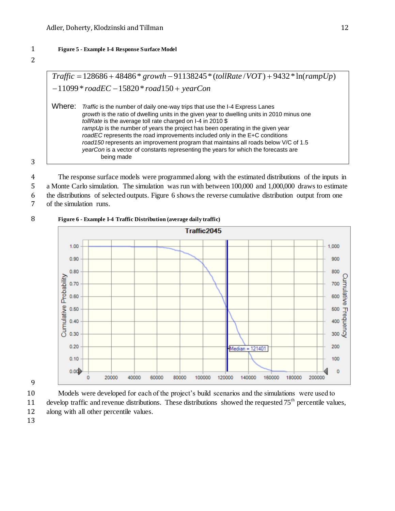### <span id="page-11-0"></span>1 **Figure 5 - Example I-4 Response Surface Model**



| $Traffic = 128686 + 48486 * growth - 91138245 * (tollRate / VOT) + 9432 * ln(rampUp)$<br>Traffic is the number of daily one-way trips that use the I-4 Express Lanes<br>growth is the ratio of dwelling units in the given year to dwelling units in 2010 minus one<br>tollRate is the average toll rate charged on I-4 in 2010 \$<br>rampUp is the number of years the project has been operating in the given year<br>roadEC represents the road improvements included only in the E+C conditions<br>road150 represents an improvement program that maintains all roads below V/C of 1.5<br>yearCon is a vector of constants representing the years for which the forecasts are<br>being made |        |  |
|-------------------------------------------------------------------------------------------------------------------------------------------------------------------------------------------------------------------------------------------------------------------------------------------------------------------------------------------------------------------------------------------------------------------------------------------------------------------------------------------------------------------------------------------------------------------------------------------------------------------------------------------------------------------------------------------------|--------|--|
| $-11099 * roadEC - 15820 * road150 + yearCon$                                                                                                                                                                                                                                                                                                                                                                                                                                                                                                                                                                                                                                                   |        |  |
|                                                                                                                                                                                                                                                                                                                                                                                                                                                                                                                                                                                                                                                                                                 |        |  |
|                                                                                                                                                                                                                                                                                                                                                                                                                                                                                                                                                                                                                                                                                                 | Where: |  |

3

4 The response surface models were programmed along with the estimated distributions of the inputs in 5 a Monte Carlo simulation. The simulation was run with between 100,000 and 1,000,000 draws to estimate

6 the distributions of selected outputs. [Figure 6](#page-11-1) shows the reverse cumulative distribution output from one

7 of the simulation runs.

## <span id="page-11-1"></span>8 **Figure 6 - Example I-4 Traffic Distribution (average daily traffic)**





10 Models were developed for each of the project's build scenarios and the simulations were used to 11 develop traffic and revenue distributions. These distributions showed the requested  $75<sup>th</sup>$  percentile values, 12 along with all other percentile values.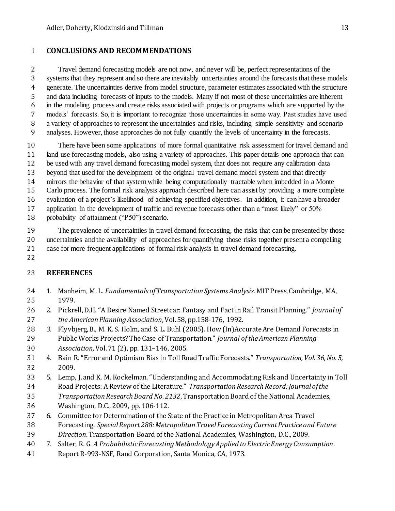# **CONCLUSIONS AND RECOMMENDATIONS**

 Travel demand forecasting models are not now, and never will be, perfect representations of the systems that they represent and so there are inevitably uncertainties around the forecasts that these models generate. The uncertainties derive from model structure, parameter estimates associated with the structure and data including forecasts of inputs to the models. Many if not most of these uncertainties are inherent in the modeling process and create risks associated with projects or programs which are supported by the models' forecasts. So, it is important to recognize those uncertainties in some way. Past studies have used a variety of approaches to represent the uncertainties and risks, including simple sensitivity and scenario analyses. However, those approaches do not fully quantify the levels of uncertainty in the forecasts.

 There have been some applications of more formal quantitative risk assessment for travel demand and land use forecasting models, also using a variety of approaches. This paper details one approach that can be used with any travel demand forecasting model system, that does not require any calibration data beyond that used for the development of the original travel demand model system and that directly mirrors the behavior of that system while being computationally tractable when imbedded in a Monte Carlo process. The formal risk analysis approach described here can assist by providing a more complete evaluation of a project's likelihood of achieving specified objectives. In addition, it can have a broader application in the development of traffic and revenue forecasts other than a "most likely" or 50% probability of attainment ("P50") scenario.

 The prevalence of uncertainties in travel demand forecasting, the risks that can be presented by those uncertainties and the availability of approaches for quantifying those risks together present a compelling case for more frequent applications of formal risk analysis in travel demand forecasting.

# **REFERENCES**

- 1. Manheim, M. L. *Fundamentals of Transportation Systems Analysis*. MIT Press, Cambridge, MA, 1979.
- 2. Pickrell, D.H. "A Desire Named Streetcar: Fantasy and Fact in Rail Transit Planning." *Journal of the American Planning Association*, Vol. 58, pp.158-176, 1992.
- *3.* Flyvbjerg, B., M. K. S. Holm, and S. L. Buhl (2005). How (In)Accurate Are Demand Forecasts in Public Works Projects? The Case of Transportation." *Journal of the American Planning Association,* Vol.71 (2), pp. 131–146, 2005.
- 4. Bain R. "Error and Optimism Bias in Toll Road Traffic Forecasts." *Transportation, Vol. 36, No. 5,* 2009.
- 5. Lemp, J. and K. M. Kockelman. "Understanding and Accommodating Risk and Uncertainty in Toll Road Projects: A Review of the Literature." *Transportation Research Record: Journal of the Transportation Research Board No. 2132*, Transportation Board of the National Academies, Washington, D.C., 2009, pp. 106-112.
- 6. Committee for Determination of the State of the Practice in Metropolitan Area Travel Forecasting. *Special Report 288: Metropolitan Travel Forecasting Current Practice and Future Direction*. Transportation Board of the National Academies, Washington, D.C., 2009.
- 7. Salter, R. G. *A Probabilistic Forecasting Methodology Applied to Electric Energy Consumption*.
- Report R-993-NSF, Rand Corporation, Santa Monica, CA, 1973.